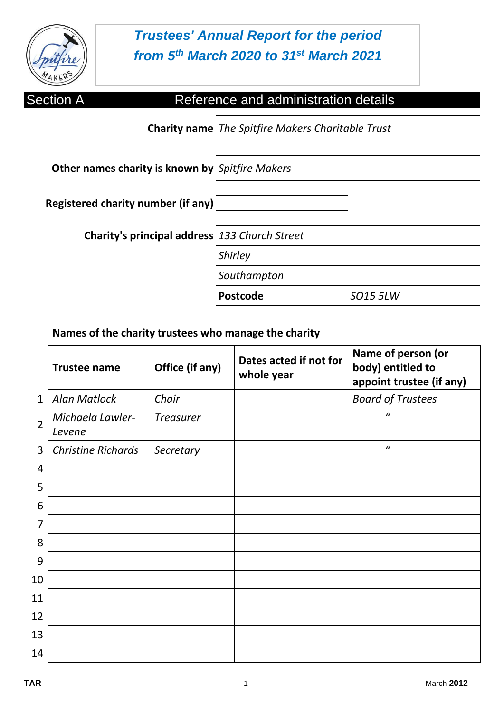

# *Trustees' Annual Report for the period from 5 th March 2020 to 31st March 2021*

| <b>Section A</b>                                | Reference and administration details                |          |
|-------------------------------------------------|-----------------------------------------------------|----------|
|                                                 | Charity name   The Spitfire Makers Charitable Trust |          |
| Other names charity is known by Spitfire Makers |                                                     |          |
| Registered charity number (if any)              |                                                     |          |
| Charity's principal address 133 Church Street   |                                                     |          |
|                                                 | <b>Shirley</b>                                      |          |
|                                                 | Southampton                                         |          |
|                                                 | <b>Postcode</b>                                     | SO15 5LW |

**Names of the charity trustees who manage the charity**

|                | <b>Trustee name</b>        | Office (if any)  | Dates acted if not for<br>whole year | Name of person (or<br>body) entitled to<br>appoint trustee (if any) |
|----------------|----------------------------|------------------|--------------------------------------|---------------------------------------------------------------------|
| $\mathbf{1}$   | <b>Alan Matlock</b>        | Chair            |                                      | <b>Board of Trustees</b>                                            |
| $\overline{2}$ | Michaela Lawler-<br>Levene | <b>Treasurer</b> |                                      | $\mathcal{U}$                                                       |
| 3              | <b>Christine Richards</b>  | Secretary        |                                      | $\mathcal{U}$                                                       |
| 4              |                            |                  |                                      |                                                                     |
| 5              |                            |                  |                                      |                                                                     |
| 6              |                            |                  |                                      |                                                                     |
| 7              |                            |                  |                                      |                                                                     |
| 8              |                            |                  |                                      |                                                                     |
| 9              |                            |                  |                                      |                                                                     |
| 10             |                            |                  |                                      |                                                                     |
| 11             |                            |                  |                                      |                                                                     |
| 12             |                            |                  |                                      |                                                                     |
| 13             |                            |                  |                                      |                                                                     |
| 14             |                            |                  |                                      |                                                                     |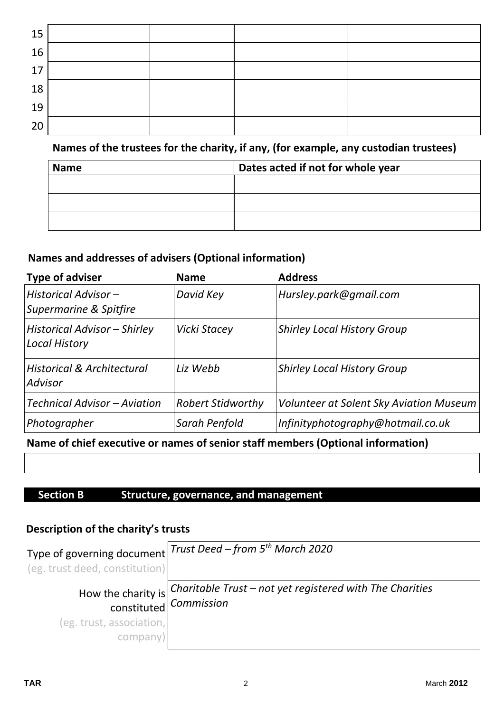| 15 |  |  |
|----|--|--|
| 16 |  |  |
| 17 |  |  |
| 18 |  |  |
| 19 |  |  |
| 20 |  |  |

# **Names of the trustees for the charity, if any, (for example, any custodian trustees)**

| <b>Name</b> | Dates acted if not for whole year |
|-------------|-----------------------------------|
|             |                                   |
|             |                                   |
|             |                                   |

# **Names and addresses of advisers (Optional information)**

| <b>Type of adviser</b>                               | <b>Name</b>              | <b>Address</b>                                 |
|------------------------------------------------------|--------------------------|------------------------------------------------|
| Historical Advisor -<br>Supermarine & Spitfire       | David Key                | Hursley.park@gmail.com                         |
| Historical Advisor - Shirley<br><b>Local History</b> | Vicki Stacey             | <b>Shirley Local History Group</b>             |
| <b>Historical &amp; Architectural</b><br>Advisor     | Liz Webb                 | <b>Shirley Local History Group</b>             |
| Technical Advisor - Aviation                         | <b>Robert Stidworthy</b> | <b>Volunteer at Solent Sky Aviation Museum</b> |
| Photographer                                         | Sarah Penfold            | Infinityphotography@hotmail.co.uk              |

# **Name of chief executive or names of senior staff members (Optional information)**

### **Section B Structure, governance, and management**

# **Description of the charity's trusts**

| (eg. trust deed, constitution)       | Type of governing document Trust Deed - from 5 <sup>th</sup> March 2020                                          |
|--------------------------------------|------------------------------------------------------------------------------------------------------------------|
|                                      | How the charity is <i>Charitable Trust – not yet registered with The Charities</i> constituted <i>Commission</i> |
| (eg. trust, association,<br>company) |                                                                                                                  |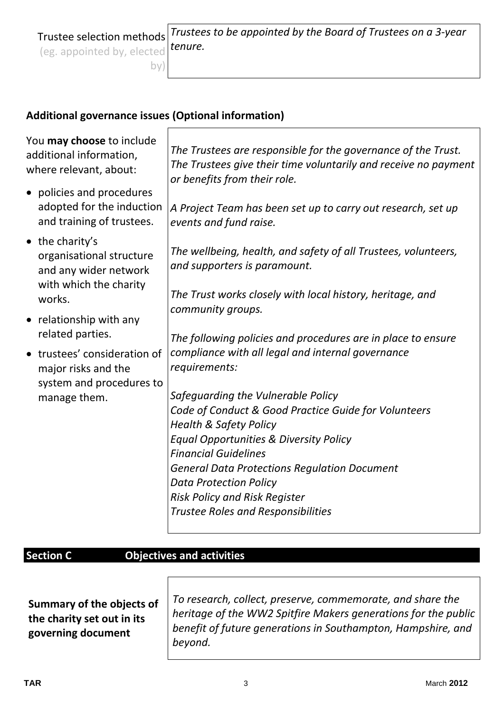Trustee selection methods *Trustees to be appointed by the Board of Trustees on a 3-year tenure.* 

### **Additional governance issues (Optional information)**

 $\Gamma$ 

| You may choose to include<br>additional information,<br>where relevant, about:      | The Trustees are responsible for the governance of the Trust.<br>The Trustees give their time voluntarily and receive no payment<br>or benefits from their role. |
|-------------------------------------------------------------------------------------|------------------------------------------------------------------------------------------------------------------------------------------------------------------|
| • policies and procedures<br>adopted for the induction<br>and training of trustees. | A Project Team has been set up to carry out research, set up<br>events and fund raise.                                                                           |
| $\bullet$ the charity's<br>organisational structure<br>and any wider network        | The wellbeing, health, and safety of all Trustees, volunteers,<br>and supporters is paramount.                                                                   |
| with which the charity<br>works.                                                    | The Trust works closely with local history, heritage, and<br>community groups.                                                                                   |
| • relationship with any<br>related parties.                                         |                                                                                                                                                                  |
| trustees' consideration of<br>major risks and the<br>system and procedures to       | The following policies and procedures are in place to ensure<br>compliance with all legal and internal governance<br>requirements:                               |
| manage them.                                                                        | Safeguarding the Vulnerable Policy                                                                                                                               |
|                                                                                     | Code of Conduct & Good Practice Guide for Volunteers<br><b>Health &amp; Safety Policy</b>                                                                        |
|                                                                                     | <b>Equal Opportunities &amp; Diversity Policy</b>                                                                                                                |
|                                                                                     | <b>Financial Guidelines</b>                                                                                                                                      |
|                                                                                     | <b>General Data Protections Regulation Document</b>                                                                                                              |
|                                                                                     | <b>Data Protection Policy</b>                                                                                                                                    |
|                                                                                     | <b>Risk Policy and Risk Register</b><br><b>Trustee Roles and Responsibilities</b>                                                                                |
|                                                                                     |                                                                                                                                                                  |

# **Section C Objectives and activities**

**Summary of the objects of the charity set out in its governing document**

*To research, collect, preserve, commemorate, and share the heritage of the WW2 Spitfire Makers generations for the public benefit of future generations in Southampton, Hampshire, and beyond.*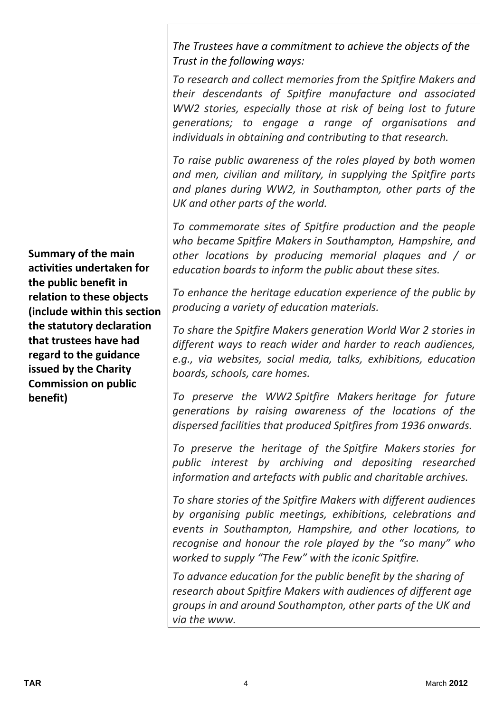*The Trustees have a commitment to achieve the objects of the Trust in the following ways:* 

*To research and collect memories from the Spitfire Makers and their descendants of Spitfire manufacture and associated WW2 stories, especially those at risk of being lost to future generations; to engage a range of organisations and individuals in obtaining and contributing to that research.*

*To raise public awareness of the roles played by both women and men, civilian and military, in supplying the Spitfire parts and planes during WW2, in Southampton, other parts of the UK and other parts of the world.*

*To commemorate sites of Spitfire production and the people who became Spitfire Makers in Southampton, Hampshire, and other locations by producing memorial plaques and / or education boards to inform the public about these sites.*

*To enhance the heritage education experience of the public by producing a variety of education materials.*

*To share the Spitfire Makers generation World War 2 stories in different ways to reach wider and harder to reach audiences, e.g., via websites, social media, talks, exhibitions, education boards, schools, care homes.*

*To preserve the WW2 Spitfire Makers heritage for future generations by raising awareness of the locations of the dispersed facilities that produced Spitfires from 1936 onwards.*

*To preserve the heritage of the Spitfire Makers stories for public interest by archiving and depositing researched information and artefacts with public and charitable archives.*

*To share stories of the Spitfire Makers with different audiences by organising public meetings, exhibitions, celebrations and events in Southampton, Hampshire, and other locations, to recognise and honour the role played by the "so many" who worked to supply "The Few" with the iconic Spitfire.*

*To advance education for the public benefit by the sharing of research about Spitfire Makers with audiences of different age groups in and around Southampton, other parts of the UK and via the www.*

**Summary of the main activities undertaken for the public benefit in relation to these objects (include within this section the statutory declaration that trustees have had regard to the guidance issued by the Charity Commission on public benefit)**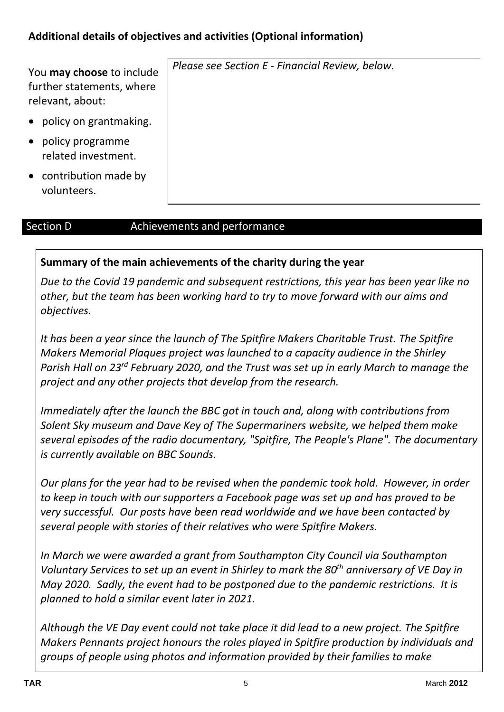# **Additional details of objectives and activities (Optional information)**

| You may choose to include<br>further statements, where<br>relevant, about: | Please see Section E - Financial Review, below. |
|----------------------------------------------------------------------------|-------------------------------------------------|
| policy on grantmaking.                                                     |                                                 |
| policy programme<br>related investment.                                    |                                                 |
| • contribution made by<br>volunteers.                                      |                                                 |

#### Section D **Achievements and performance**

#### **Summary of the main achievements of the charity during the year**

*Due to the Covid 19 pandemic and subsequent restrictions, this year has been year like no other, but the team has been working hard to try to move forward with our aims and objectives.* 

*It has been a year since the launch of The Spitfire Makers Charitable Trust. The Spitfire Makers Memorial Plaques project was launched to a capacity audience in the Shirley*  Parish Hall on 23<sup>rd</sup> February 2020, and the Trust was set up in early March to manage the *project and any other projects that develop from the research.*

*Immediately after the launch the BBC got in touch and, along with contributions from Solent Sky museum and Dave Key of The Supermariners website, we helped them make several episodes of the radio documentary, "Spitfire, The People's Plane". The documentary is currently available on BBC Sounds.*

*Our plans for the year had to be revised when the pandemic took hold. However, in order to keep in touch with our supporters a Facebook page was set up and has proved to be very successful. Our posts have been read worldwide and we have been contacted by several people with stories of their relatives who were Spitfire Makers.*

*In March we were awarded a grant from Southampton City Council via Southampton Voluntary Services to set up an event in Shirley to mark the 80th anniversary of VE Day in May 2020. Sadly, the event had to be postponed due to the pandemic restrictions. It is planned to hold a similar event later in 2021.*

*Although the VE Day event could not take place it did lead to a new project. The Spitfire Makers Pennants project honours the roles played in Spitfire production by individuals and groups of people using photos and information provided by their families to make*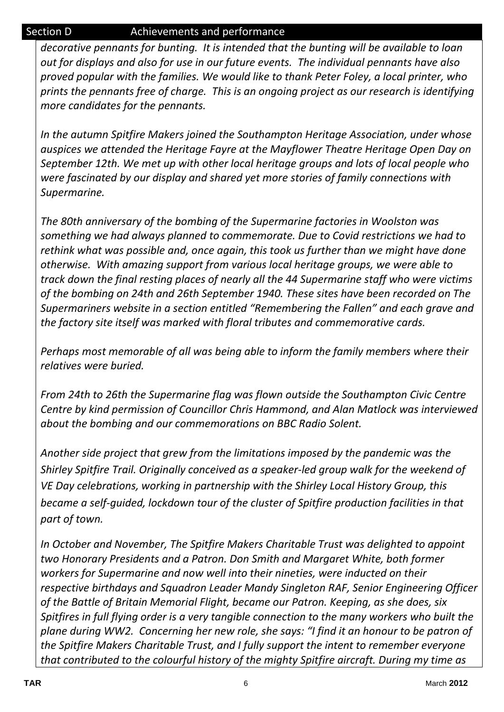### Section D **Achievements and performance**

*decorative pennants for bunting. It is intended that the bunting will be available to loan out for displays and also for use in our future events. The individual pennants have also proved popular with the families. We would like to thank Peter Foley, a local printer, who prints the pennants free of charge. This is an ongoing project as our research is identifying more candidates for the pennants.*

*In the autumn Spitfire Makers joined the Southampton Heritage Association, under whose auspices we attended the Heritage Fayre at the Mayflower Theatre Heritage Open Day on September 12th. We met up with other local heritage groups and lots of local people who were fascinated by our display and shared yet more stories of family connections with Supermarine.*

*The 80th anniversary of the bombing of the Supermarine factories in Woolston was something we had always planned to commemorate. Due to Covid restrictions we had to rethink what was possible and, once again, this took us further than we might have done otherwise. With amazing support from various local heritage groups, we were able to track down the final resting places of nearly all the 44 Supermarine staff who were victims of the bombing on 24th and 26th September 1940. These sites have been recorded on The Supermariners website in a section entitled "Remembering the Fallen" and each grave and the factory site itself was marked with floral tributes and commemorative cards.* 

*Perhaps most memorable of all was being able to inform the family members where their relatives were buried.*

*From 24th to 26th the Supermarine flag was flown outside the Southampton Civic Centre Centre by kind permission of Councillor Chris Hammond, and Alan Matlock was interviewed about the bombing and our commemorations on BBC Radio Solent.*

*Another side project that grew from the limitations imposed by the pandemic was the Shirley Spitfire Trail. Originally conceived as a speaker-led group walk for the weekend of VE Day celebrations, working in partnership with the Shirley Local History Group, this became a self-guided, lockdown tour of the cluster of Spitfire production facilities in that part of town.* 

*In October and November, The Spitfire Makers Charitable Trust was delighted to appoint two Honorary Presidents and a Patron. Don Smith and Margaret White, both former workers for Supermarine and now well into their nineties, were inducted on their respective birthdays and Squadron Leader Mandy Singleton RAF, Senior Engineering Officer of the Battle of Britain Memorial Flight, became our Patron. Keeping, as she does, six Spitfires in full flying order is a very tangible connection to the many workers who built the plane during WW2. Concerning her new role, she says: "I find it an honour to be patron of the Spitfire Makers Charitable Trust, and I fully support the intent to remember everyone that contributed to the colourful history of the mighty Spitfire aircraft. During my time as*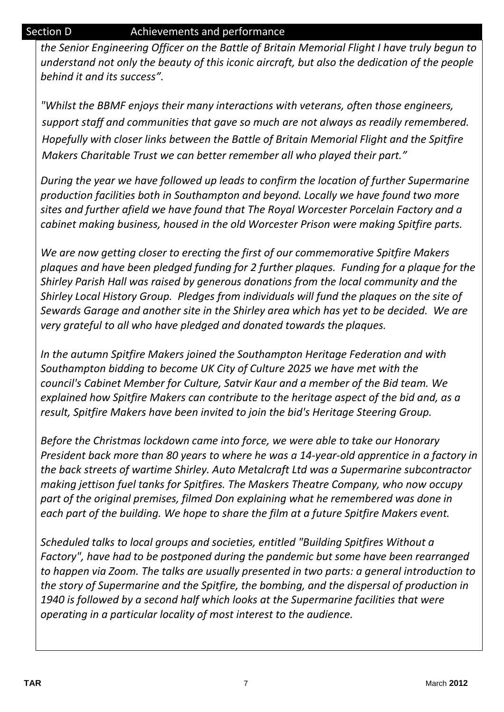### Section D **Achievements and performance**

*the Senior Engineering Officer on the Battle of Britain Memorial Flight I have truly begun to understand not only the beauty of this iconic aircraft, but also the dedication of the people behind it and its success".*

*"Whilst the BBMF enjoys their many interactions with veterans, often those engineers, support staff and communities that gave so much are not always as readily remembered. Hopefully with closer links between the Battle of Britain Memorial Flight and the Spitfire Makers Charitable Trust we can better remember all who played their part."*

*During the year we have followed up leads to confirm the location of further Supermarine production facilities both in Southampton and beyond. Locally we have found two more sites and further afield we have found that The Royal Worcester Porcelain Factory and a cabinet making business, housed in the old Worcester Prison were making Spitfire parts.*

*We are now getting closer to erecting the first of our commemorative Spitfire Makers plaques and have been pledged funding for 2 further plaques. Funding for a plaque for the Shirley Parish Hall was raised by generous donations from the local community and the Shirley Local History Group. Pledges from individuals will fund the plaques on the site of Sewards Garage and another site in the Shirley area which has yet to be decided. We are very grateful to all who have pledged and donated towards the plaques.*

*In the autumn Spitfire Makers joined the Southampton Heritage Federation and with Southampton bidding to become UK City of Culture 2025 we have met with the council's Cabinet Member for Culture, Satvir Kaur and a member of the Bid team. We explained how Spitfire Makers can contribute to the heritage aspect of the bid and, as a result, Spitfire Makers have been invited to join the bid's Heritage Steering Group.*

*Before the Christmas lockdown came into force, we were able to take our Honorary President back more than 80 years to where he was a 14-year-old apprentice in a factory in the back streets of wartime Shirley. Auto Metalcraft Ltd was a Supermarine subcontractor making jettison fuel tanks for Spitfires. The Maskers Theatre Company, who now occupy part of the original premises, filmed Don explaining what he remembered was done in each part of the building. We hope to share the film at a future Spitfire Makers event.*

*Scheduled talks to local groups and societies, entitled "Building Spitfires Without a Factory", have had to be postponed during the pandemic but some have been rearranged to happen via Zoom. The talks are usually presented in two parts: a general introduction to the story of Supermarine and the Spitfire, the bombing, and the dispersal of production in 1940 is followed by a second half which looks at the Supermarine facilities that were operating in a particular locality of most interest to the audience.*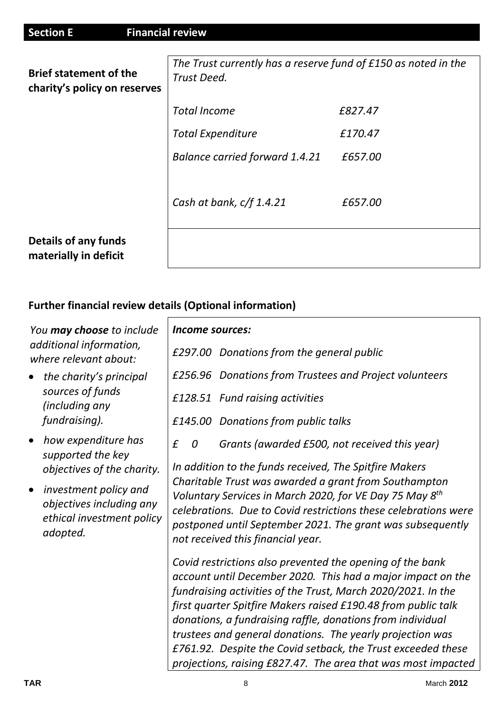| <b>Section E</b><br><b>Financial review</b>                   |                                                                               |         |
|---------------------------------------------------------------|-------------------------------------------------------------------------------|---------|
| <b>Brief statement of the</b><br>charity's policy on reserves | The Trust currently has a reserve fund of £150 as noted in the<br>Trust Deed. |         |
|                                                               | <b>Total Income</b>                                                           | £827.47 |
|                                                               | <b>Total Expenditure</b>                                                      | £170.47 |
|                                                               | <b>Balance carried forward 1.4.21</b>                                         | £657.00 |
|                                                               | Cash at bank, c/f 1.4.21                                                      | £657.00 |
| <b>Details of any funds</b><br>materially in deficit          |                                                                               |         |

# **Further financial review details (Optional information)**

| You may choose to include                                                                               | <i>Income sources:</i>                                                                                                                                                                                                                                                                                                                                                                                                                                                                                                |
|---------------------------------------------------------------------------------------------------------|-----------------------------------------------------------------------------------------------------------------------------------------------------------------------------------------------------------------------------------------------------------------------------------------------------------------------------------------------------------------------------------------------------------------------------------------------------------------------------------------------------------------------|
| additional information,<br>where relevant about:                                                        | £297.00 Donations from the general public                                                                                                                                                                                                                                                                                                                                                                                                                                                                             |
| the charity's principal                                                                                 | £256.96 Donations from Trustees and Project volunteers                                                                                                                                                                                                                                                                                                                                                                                                                                                                |
| sources of funds<br>(including any                                                                      | £128.51 Fund raising activities                                                                                                                                                                                                                                                                                                                                                                                                                                                                                       |
| fundraising).                                                                                           | £145.00 Donations from public talks                                                                                                                                                                                                                                                                                                                                                                                                                                                                                   |
| how expenditure has<br>$\bullet$<br>supported the key                                                   | £<br>Grants (awarded £500, not received this year)<br>0                                                                                                                                                                                                                                                                                                                                                                                                                                                               |
| objectives of the charity.                                                                              | In addition to the funds received, The Spitfire Makers                                                                                                                                                                                                                                                                                                                                                                                                                                                                |
| investment policy and<br>$\bullet$<br>objectives including any<br>ethical investment policy<br>adopted. | Charitable Trust was awarded a grant from Southampton<br>Voluntary Services in March 2020, for VE Day 75 May 8 <sup>th</sup><br>celebrations. Due to Covid restrictions these celebrations were<br>postponed until September 2021. The grant was subsequently<br>not received this financial year.                                                                                                                                                                                                                    |
|                                                                                                         | Covid restrictions also prevented the opening of the bank<br>account until December 2020. This had a major impact on the<br>fundraising activities of the Trust, March 2020/2021. In the<br>first quarter Spitfire Makers raised £190.48 from public talk<br>donations, a fundraising raffle, donations from individual<br>trustees and general donations. The yearly projection was<br>£761.92. Despite the Covid setback, the Trust exceeded these<br>projections, raising £827.47. The area that was most impacted |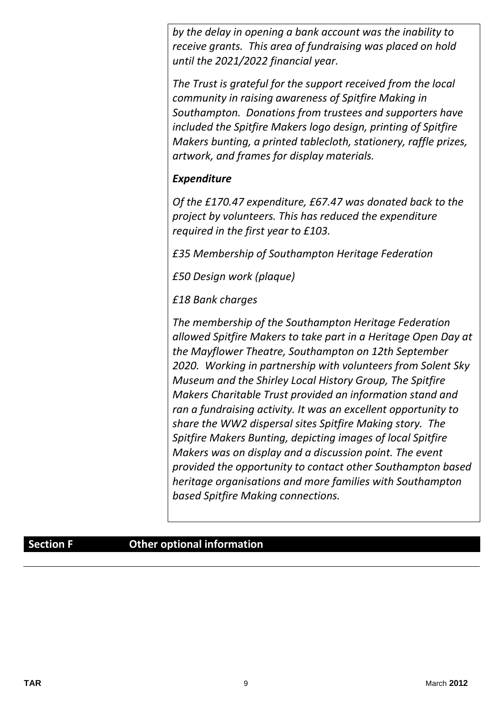*by the delay in opening a bank account was the inability to receive grants. This area of fundraising was placed on hold until the 2021/2022 financial year.*

*The Trust is grateful for the support received from the local community in raising awareness of Spitfire Making in Southampton. Donations from trustees and supporters have included the Spitfire Makers logo design, printing of Spitfire Makers bunting, a printed tablecloth, stationery, raffle prizes, artwork, and frames for display materials.*

# *Expenditure*

*Of the £170.47 expenditure, £67.47 was donated back to the project by volunteers. This has reduced the expenditure required in the first year to £103.*

*£35 Membership of Southampton Heritage Federation* 

*£50 Design work (plaque)*

*£18 Bank charges*

*The membership of the Southampton Heritage Federation allowed Spitfire Makers to take part in a Heritage Open Day at the Mayflower Theatre, Southampton on 12th September 2020. Working in partnership with volunteers from Solent Sky Museum and the Shirley Local History Group, The Spitfire Makers Charitable Trust provided an information stand and ran a fundraising activity. It was an excellent opportunity to share the WW2 dispersal sites Spitfire Making story. The Spitfire Makers Bunting, depicting images of local Spitfire Makers was on display and a discussion point. The event provided the opportunity to contact other Southampton based heritage organisations and more families with Southampton based Spitfire Making connections.*

### **Section F Other optional information**